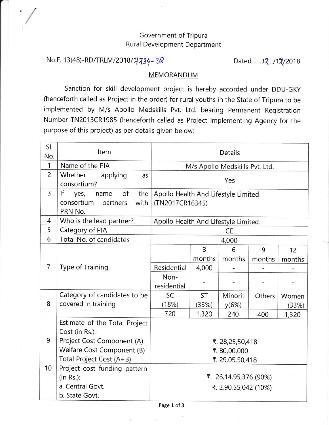## Government of Tripura Rural Development Department

## No.F. 13(48)-RD/TRLM/2018/7734-38 Dated......12.../12/2018

,/

## MEMORANDUM

Sanction for skill development project is hereby accorded under DDU-GKY (henceforth called as Project in the order) for rural youths in the State of Tripura to be implemented by M/s Apollo Medskills Pvt. Ltd. bearing permanent Registration Number TN2013CR19B5 (henceforth called as Project lmplementing Agency for the purpose of this project) as per details given below:

| SI.<br>No.     | Item                                      | <b>Details</b>                       |                |         |        |        |
|----------------|-------------------------------------------|--------------------------------------|----------------|---------|--------|--------|
| 1              | Name of the PIA                           | M/s Apollo Medskills Pvt. Ltd.       |                |         |        |        |
| $\overline{2}$ | Whether<br>applying<br>as<br>consortium?  | Yes                                  |                |         |        |        |
| 3              | If<br>of<br>the<br>yes,<br>name           | Apollo Health And Lifestyle Limited. |                |         |        |        |
|                | consortium<br>with<br>partners<br>PRN No. | (TN2017CR16345)                      |                |         |        |        |
| 4              | Who is the lead partner?                  | Apollo Health And Lifestyle Limited. |                |         |        |        |
| 5              | Category of PIA                           | <b>CE</b>                            |                |         |        |        |
| 6              | Total No. of candidates                   | 4,000                                |                |         |        |        |
|                |                                           |                                      | $\overline{3}$ | 6       | 9      | 12     |
|                |                                           |                                      | months         | months  | months | months |
| $\overline{7}$ | <b>Type of Training</b>                   | Residential                          | 4,000          |         |        |        |
|                |                                           | Non-                                 |                |         |        |        |
|                |                                           | residential                          |                |         |        |        |
|                | Category of candidates to be              | SC                                   | <b>ST</b>      | Minorit | Others | Women  |
| 8              | covered in training                       | (18%)                                | (33%)          | y(6%)   |        | (33%)  |
|                |                                           | 720                                  | 1,320          | 240     | 400    | 1,320  |
|                | Estimate of the Total Project             |                                      |                |         |        |        |
|                | Cost (in Rs.):                            |                                      |                |         |        |        |
| 9              | Project Cost Component (A)                | ₹. 28,25,50,418                      |                |         |        |        |
|                | Welfare Cost Component (B)                | ₹.80,00,000                          |                |         |        |        |
|                | Total Project Cost (A+B)                  | ₹. 29,05,50,418                      |                |         |        |        |
| 10             | Project cost funding pattern              |                                      |                |         |        |        |
|                | $(in Rs.)$ :                              | ₹. 26,14,95,376 (90%)                |                |         |        |        |
|                | a. Central Govt.                          | ₹. 2,90,55,042 (10%)                 |                |         |        |        |
|                | b. State Govt.                            |                                      |                |         |        |        |

Page 1 of 3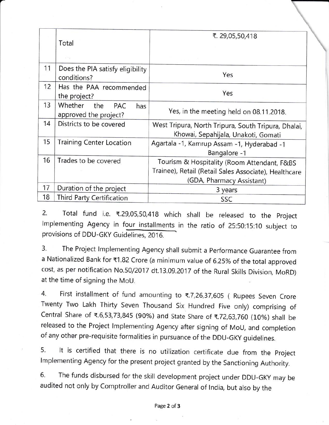|    | Total                                                 | ₹. 29,05,50,418                                                                                                                   |  |  |
|----|-------------------------------------------------------|-----------------------------------------------------------------------------------------------------------------------------------|--|--|
|    | $4 - 1$                                               |                                                                                                                                   |  |  |
| 11 | Does the PIA satisfy eligibility<br>conditions?       | Yes                                                                                                                               |  |  |
| 12 | Has the PAA recommended<br>the project?               | Yes                                                                                                                               |  |  |
| 13 | Whether<br>the<br>PAC<br>has<br>approved the project? | Yes, in the meeting held on 08.11.2018.                                                                                           |  |  |
| 14 | Districts to be covered                               | West Tripura, North Tripura, South Tripura, Dhalai,<br>Khowai, Sepahijala, Unakoti, Gomati                                        |  |  |
| 15 | <b>Training Center Location</b>                       | Agartala -1, Kamrup Assam -1, Hyderabad -1<br>Bangalore -1                                                                        |  |  |
| 16 | Trades to be covered                                  | Tourism & Hospitality (Room Attendant, F&BS<br>Trainee), Retail (Retail Sales Associate), Healthcare<br>(GDA, Pharmacy Assistant) |  |  |
| 17 | Duration of the project                               | 3 years                                                                                                                           |  |  |
| 18 | Third Party Certification                             | SSC                                                                                                                               |  |  |

2. Total fund i.e. ₹.29,05,50,418 which shall be released to the Project lmplementing Agency in four installments in the ratio of 25:50:15:10 subject to provisions of DDU-GKY Guidelines, 2016.<br>3. The Project Implementing Agency

The Project Implementing Agency shall submit a Performance Guarantee from a Nationalized Bank for ₹1.82 Crore (a minimum value of 6.25% of the total approved cost, as per notification No.50/2017 dt.13.09.2017 of the Rural skills Division, MoRD) at the time of signing the MoU.

4. First installment of fund amounting to \.7,26,37,605 ( Rupees Seven Crore Twenty Two Lakh Thirty Seven Thousand Six Hundred Five only) comprising of Central Share of ₹.6,53,73,845 (90%) and State Share of ₹.72,63,760 (10%) shall be released to the Project lmplementing Agency after signing of MoU, and completion of any other pre-requisite formalities in pursuance of the DDU-GKy guidelines.

5. lt is certified that there is no utilization certificate due from the project lmplementing Agency for the present project granted by the Sanctioning Authority.

6. The funds disbursed for the skill development project under DDU-GKY may be audited not only by Comptroller and Auditor General of lndia, but also by the